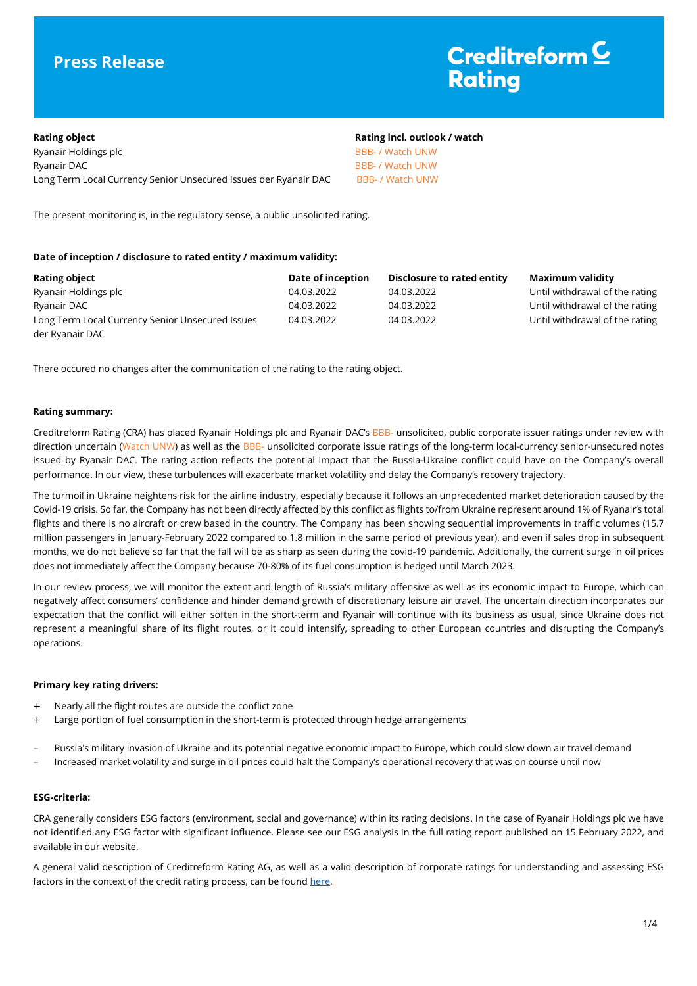# **Press Release**

# Creditreform  $\subseteq$ **Rating**

# **Rating object Rating incl. outlook / watch** Ryanair Holdings plc **BBB-** / Watch UNW Ryanair DAC **BBB- / Watch UNW** Long Term Local Currency Senior Unsecured Issues der Ryanair DAC BBB- / Watch UNW

The present monitoring is, in the regulatory sense, a public unsolicited rating.

# **Date of inception / disclosure to rated entity / maximum validity:**

| <b>Rating object</b>                             | Date of inception | Disclosure to rated entity | Maximum validity               |
|--------------------------------------------------|-------------------|----------------------------|--------------------------------|
| Ryanair Holdings plc                             | 04.03.2022        | 04.03.2022                 | Until withdrawal of the rating |
| Ryanair DAC                                      | 04.03.2022        | 04.03.2022                 | Until withdrawal of the rating |
| Long Term Local Currency Senior Unsecured Issues | 04.03.2022        | 04.03.2022                 | Until withdrawal of the rating |
| der Ryanair DAC                                  |                   |                            |                                |

There occured no changes after the communication of the rating to the rating object.

# **Rating summary:**

Creditreform Rating (CRA) has placed Ryanair Holdings plc and Ryanair DAC's BBB- unsolicited, public corporate issuer ratings under review with direction uncertain (Watch UNW) as well as the BBB- unsolicited corporate issue ratings of the long-term local-currency senior-unsecured notes issued by Ryanair DAC. The rating action reflects the potential impact that the Russia-Ukraine conflict could have on the Company's overall performance. In our view, these turbulences will exacerbate market volatility and delay the Company's recovery trajectory.

The turmoil in Ukraine heightens risk for the airline industry, especially because it follows an unprecedented market deterioration caused by the Covid-19 crisis. So far, the Company has not been directly affected by this conflict as flights to/from Ukraine represent around 1% of Ryanair's total flights and there is no aircraft or crew based in the country. The Company has been showing sequential improvements in traffic volumes (15.7 million passengers in January-February 2022 compared to 1.8 million in the same period of previous year), and even if sales drop in subsequent months, we do not believe so far that the fall will be as sharp as seen during the covid-19 pandemic. Additionally, the current surge in oil prices does not immediately affect the Company because 70-80% of its fuel consumption is hedged until March 2023.

In our review process, we will monitor the extent and length of Russia's military offensive as well as its economic impact to Europe, which can negatively affect consumers' confidence and hinder demand growth of discretionary leisure air travel. The uncertain direction incorporates our expectation that the conflict will either soften in the short-term and Ryanair will continue with its business as usual, since Ukraine does not represent a meaningful share of its flight routes, or it could intensify, spreading to other European countries and disrupting the Company's operations.

# **Primary key rating drivers:**

- + Nearly all the flight routes are outside the conflict zone
- + Large portion of fuel consumption in the short-term is protected through hedge arrangements
- Russia's military invasion of Ukraine and its potential negative economic impact to Europe, which could slow down air travel demand
- Increased market volatility and surge in oil prices could halt the Company's operational recovery that was on course until now

### **ESG-criteria:**

CRA generally considers ESG factors (environment, social and governance) within its rating decisions. In the case of Ryanair Holdings plc we have not identified any ESG factor with significant influence. Please see our ESG analysis in the full rating report published on 15 February 2022, and available in our website.

A general valid description of Creditreform Rating AG, as well as a valid description of corporate ratings for understanding and assessing ESG factors in the context of the credit rating process, can be found here.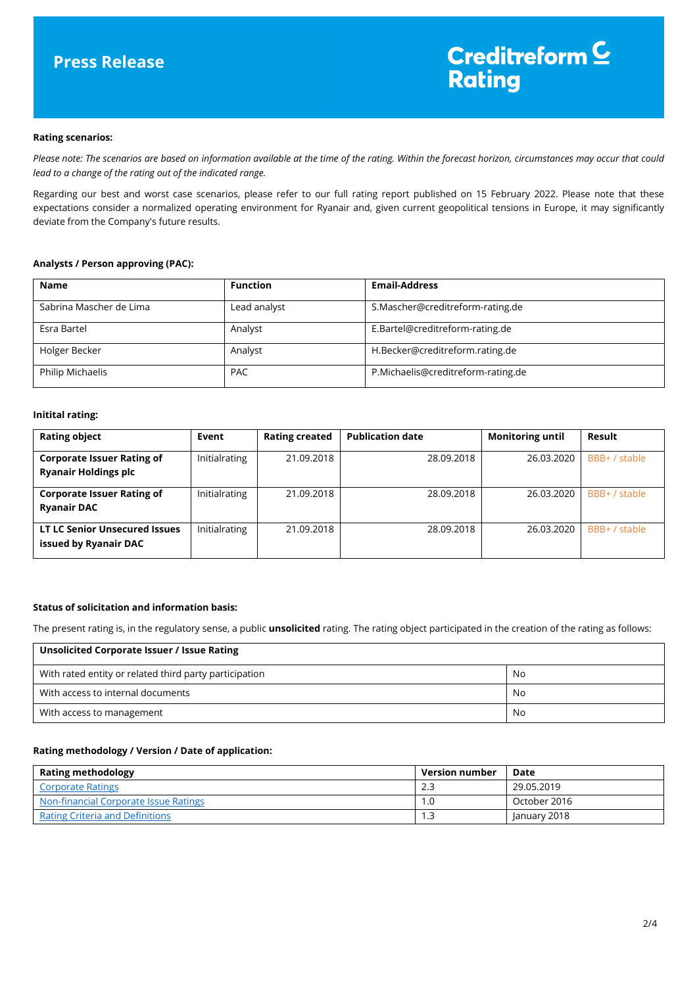### **Rating scenarios:**

*Please note: The scenarios are based on information available at the time of the rating. Within the forecast horizon, circumstances may occur that could lead to a change of the rating out of the indicated range.* 

Regarding our best and worst case scenarios, please refer to our full rating report published on 15 February 2022. Please note that these expectations consider a normalized operating environment for Ryanair and, given current geopolitical tensions in Europe, it may significantly deviate from the Company's future results.

# **Analysts / Person approving (PAC):**

| <b>Name</b>             | <b>Function</b> | <b>Email-Address</b>               |
|-------------------------|-----------------|------------------------------------|
| Sabrina Mascher de Lima | Lead analyst    | S.Mascher@creditreform-rating.de   |
| Esra Bartel             | Analyst         | E.Bartel@creditreform-rating.de    |
| Holger Becker           | Analyst         | H.Becker@creditreform.rating.de    |
| Philip Michaelis        | <b>PAC</b>      | P.Michaelis@creditreform-rating.de |

### **Initital rating:**

| <b>Rating object</b>                                             | Event         | <b>Rating created</b> | <b>Publication date</b> | <b>Monitoring until</b> | Result        |
|------------------------------------------------------------------|---------------|-----------------------|-------------------------|-------------------------|---------------|
| <b>Corporate Issuer Rating of</b><br><b>Ryanair Holdings plc</b> | Initialrating | 21.09.2018            | 28.09.2018              | 26.03.2020              | BBB+ / stable |
| <b>Corporate Issuer Rating of</b><br><b>Ryanair DAC</b>          | Initialrating | 21.09.2018            | 28.09.2018              | 26.03.2020              | BBB+ / stable |
| <b>LT LC Senior Unsecured Issues</b><br>issued by Ryanair DAC    | Initialrating | 21.09.2018            | 28.09.2018              | 26.03.2020              | BBB+ / stable |

# **Status of solicitation and information basis:**

The present rating is, in the regulatory sense, a public **unsolicited** rating. The rating object participated in the creation of the rating as follows:

| Unsolicited Corporate Issuer / Issue Rating            |    |
|--------------------------------------------------------|----|
| With rated entity or related third party participation | No |
| With access to internal documents                      | No |
| With access to management                              | No |

### **Rating methodology / Version / Date of application:**

| <b>Rating methodology</b>              | <b>Version number</b> | Date         |
|----------------------------------------|-----------------------|--------------|
| <b>Corporate Ratings</b>               | 2.3                   | 29.05.2019   |
| Non-financial Corporate Issue Ratings  | 1.0                   | October 2016 |
| <b>Rating Criteria and Definitions</b> | .3                    | January 2018 |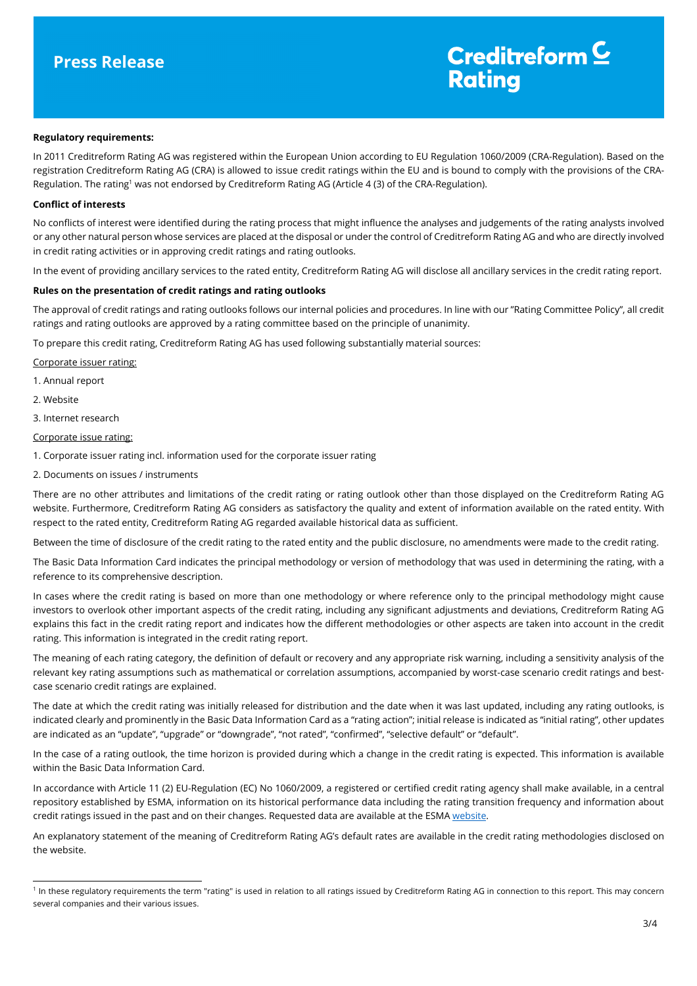# Creditreform  $\underline{\mathsf{C}}$ **Rating**

### **Regulatory requirements:**

In 2011 Creditreform Rating AG was registered within the European Union according to EU Regulation 1060/2009 (CRA-Regulation). Based on the registration Creditreform Rating AG (CRA) is allowed to issue credit ratings within the EU and is bound to comply with the provisions of the CRA-Regulation. The rating<sup>1</sup> was not endorsed by Creditreform Rating AG (Article 4 (3) of the CRA-Regulation).

### **Conflict of interests**

No conflicts of interest were identified during the rating process that might influence the analyses and judgements of the rating analysts involved or any other natural person whose services are placed at the disposal or under the control of Creditreform Rating AG and who are directly involved in credit rating activities or in approving credit ratings and rating outlooks.

In the event of providing ancillary services to the rated entity, Creditreform Rating AG will disclose all ancillary services in the credit rating report.

### **Rules on the presentation of credit ratings and rating outlooks**

The approval of credit ratings and rating outlooks follows our internal policies and procedures. In line with our "Rating Committee Policy", all credit ratings and rating outlooks are approved by a rating committee based on the principle of unanimity.

To prepare this credit rating, Creditreform Rating AG has used following substantially material sources:

#### Corporate issuer rating:

- 1. Annual report
- 2. Website

l

3. Internet research

### Corporate issue rating:

1. Corporate issuer rating incl. information used for the corporate issuer rating

2. Documents on issues / instruments

There are no other attributes and limitations of the credit rating or rating outlook other than those displayed on the Creditreform Rating AG website. Furthermore, Creditreform Rating AG considers as satisfactory the quality and extent of information available on the rated entity. With respect to the rated entity, Creditreform Rating AG regarded available historical data as sufficient.

Between the time of disclosure of the credit rating to the rated entity and the public disclosure, no amendments were made to the credit rating.

The Basic Data Information Card indicates the principal methodology or version of methodology that was used in determining the rating, with a reference to its comprehensive description.

In cases where the credit rating is based on more than one methodology or where reference only to the principal methodology might cause investors to overlook other important aspects of the credit rating, including any significant adjustments and deviations, Creditreform Rating AG explains this fact in the credit rating report and indicates how the different methodologies or other aspects are taken into account in the credit rating. This information is integrated in the credit rating report.

The meaning of each rating category, the definition of default or recovery and any appropriate risk warning, including a sensitivity analysis of the relevant key rating assumptions such as mathematical or correlation assumptions, accompanied by worst-case scenario credit ratings and bestcase scenario credit ratings are explained.

The date at which the credit rating was initially released for distribution and the date when it was last updated, including any rating outlooks, is indicated clearly and prominently in the Basic Data Information Card as a "rating action"; initial release is indicated as "initial rating", other updates are indicated as an "update", "upgrade" or "downgrade", "not rated", "confirmed", "selective default" or "default".

In the case of a rating outlook, the time horizon is provided during which a change in the credit rating is expected. This information is available within the Basic Data Information Card.

In accordance with Article 11 (2) EU-Regulation (EC) No 1060/2009, a registered or certified credit rating agency shall make available, in a central repository established by ESMA, information on its historical performance data including the rating transition frequency and information about credit ratings issued in the past and on their changes. Requested data are available at the ESMA website.

An explanatory statement of the meaning of Creditreform Rating AG's default rates are available in the credit rating methodologies disclosed on the website.

<sup>&</sup>lt;sup>1</sup> In these regulatory requirements the term "rating" is used in relation to all ratings issued by Creditreform Rating AG in connection to this report. This may concern several companies and their various issues.